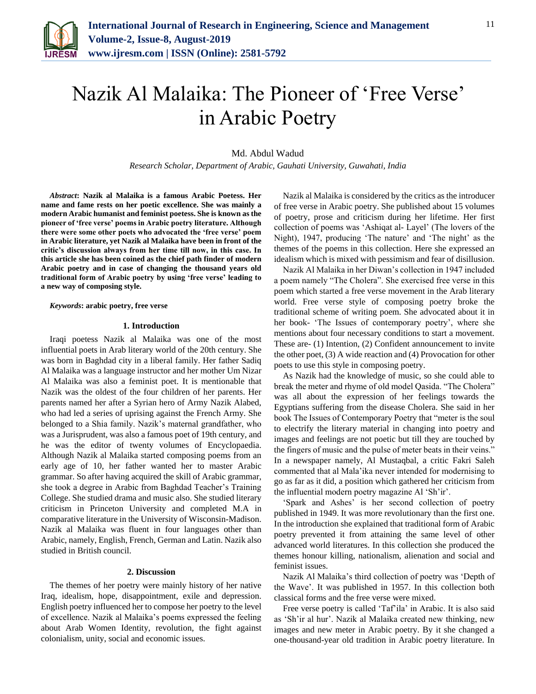

# Nazik Al Malaika: The Pioneer of 'Free Verse' in Arabic Poetry

## Md. Abdul Wadud

*Research Scholar, Department of Arabic, Gauhati University, Guwahati, India*

*Abstract***: Nazik al Malaika is a famous Arabic Poetess. Her name and fame rests on her poetic excellence. She was mainly a modern Arabic humanist and feminist poetess. She is known as the pioneer of 'free verse' poems in Arabic poetry literature. Although there were some other poets who advocated the 'free verse' poem in Arabic literature, yet Nazik al Malaika have been in front of the critic's discussion always from her time till now, in this case. In this article she has been coined as the chief path finder of modern Arabic poetry and in case of changing the thousand years old traditional form of Arabic poetry by using 'free verse' leading to a new way of composing style.** 

#### *Keywords***: arabic poetry, free verse**

#### **1. Introduction**

Iraqi poetess Nazik al Malaika was one of the most influential poets in Arab literary world of the 20th century. She was born in Baghdad city in a liberal family. Her father Sadiq Al Malaika was a language instructor and her mother Um Nizar Al Malaika was also a feminist poet. It is mentionable that Nazik was the oldest of the four children of her parents. Her parents named her after a Syrian hero of Army Nazik Alabed, who had led a series of uprising against the French Army. She belonged to a Shia family. Nazik's maternal grandfather, who was a Jurisprudent, was also a famous poet of 19th century, and he was the editor of twenty volumes of Encyclopaedia. Although Nazik al Malaika started composing poems from an early age of 10, her father wanted her to master Arabic grammar. So after having acquired the skill of Arabic grammar, she took a degree in Arabic from Baghdad Teacher's Training College. She studied drama and music also. She studied literary criticism in Princeton University and completed M.A in comparative literature in the University of Wisconsin-Madison. Nazik al Malaika was fluent in four languages other than Arabic, namely, English, French, German and Latin. Nazik also studied in British council.

### **2. Discussion**

The themes of her poetry were mainly history of her native Iraq, idealism, hope, disappointment, exile and depression. English poetry influenced her to compose her poetry to the level of excellence. Nazik al Malaika's poems expressed the feeling about Arab Women Identity, revolution, the fight against colonialism, unity, social and economic issues.

Nazik al Malaika is considered by the critics as the introducer of free verse in Arabic poetry. She published about 15 volumes of poetry, prose and criticism during her lifetime. Her first collection of poems was 'Ashiqat al- Layel' (The lovers of the Night), 1947, producing 'The nature' and 'The night' as the themes of the poems in this collection. Here she expressed an idealism which is mixed with pessimism and fear of disillusion.

Nazik Al Malaika in her Diwan's collection in 1947 included a poem namely "The Cholera". She exercised free verse in this poem which started a free verse movement in the Arab literary world. Free verse style of composing poetry broke the traditional scheme of writing poem. She advocated about it in her book- 'The Issues of contemporary poetry', where she mentions about four necessary conditions to start a movement. These are- (1) Intention, (2) Confident announcement to invite the other poet, (3) A wide reaction and (4) Provocation for other poets to use this style in composing poetry.

As Nazik had the knowledge of music, so she could able to break the meter and rhyme of old model Qasida. "The Cholera" was all about the expression of her feelings towards the Egyptians suffering from the disease Cholera. She said in her book The Issues of Contemporary Poetry that "meter is the soul to electrify the literary material in changing into poetry and images and feelings are not poetic but till they are touched by the fingers of music and the pulse of meter beats in their veins." In a newspaper namely, Al Mustaqbal, a critic Fakri Saleh commented that al Mala'ika never intended for modernising to go as far as it did, a position which gathered her criticism from the influential modern poetry magazine Al 'Sh'ir'.

'Spark and Ashes' is her second collection of poetry published in 1949. It was more revolutionary than the first one. In the introduction she explained that traditional form of Arabic poetry prevented it from attaining the same level of other advanced world literatures. In this collection she produced the themes honour killing, nationalism, alienation and social and feminist issues.

Nazik Al Malaika's third collection of poetry was 'Depth of the Wave'. It was published in 1957. In this collection both classical forms and the free verse were mixed.

Free verse poetry is called 'Taf'ila' in Arabic. It is also said as 'Sh'ir al hur'. Nazik al Malaika created new thinking, new images and new meter in Arabic poetry. By it she changed a one-thousand-year old tradition in Arabic poetry literature. In